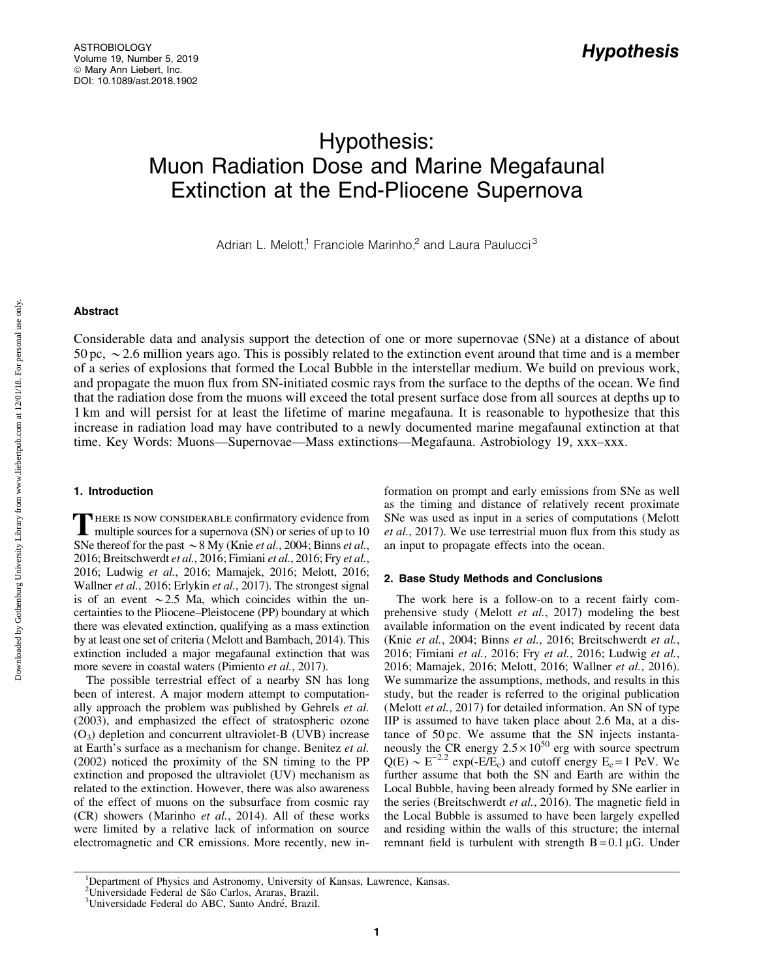# Hypothesis: Muon Radiation Dose and Marine Megafaunal Extinction at the End-Pliocene Supernova

Adrian L. Melott,<sup>1</sup> Franciole Marinho,<sup>2</sup> and Laura Paulucci<sup>3</sup>

# Abstract

Considerable data and analysis support the detection of one or more supernovae (SNe) at a distance of about 50 pc,  $\sim$  2.6 million years ago. This is possibly related to the extinction event around that time and is a member of a series of explosions that formed the Local Bubble in the interstellar medium. We build on previous work, and propagate the muon flux from SN-initiated cosmic rays from the surface to the depths of the ocean. We find that the radiation dose from the muons will exceed the total present surface dose from all sources at depths up to 1 km and will persist for at least the lifetime of marine megafauna. It is reasonable to hypothesize that this increase in radiation load may have contributed to a newly documented marine megafaunal extinction at that time. Key Words: Muons—Supernovae—Mass extinctions—Megafauna. Astrobiology 19, xxx–xxx.

## 1. Introduction

THERE IS NOW CONSIDERABLE confirmatory evidence from<br>multiple sources for a supernova (SN) or series of up to 10 SNe thereof for the past  $\sim$  8 My (Knie *et al.*, 2004; Binns *et al.*, 2016; Breitschwerdt *et al.*, 2016; Fimiani *et al.*, 2016; Fry *et al.*, 2016; Ludwig *et al.*, 2016; Mamajek, 2016; Melott, 2016; Wallner *et al.*, 2016; Erlykin *et al.*, 2017). The strongest signal is of an event  $\sim$  2.5 Ma, which coincides within the uncertainties to the Pliocene–Pleistocene (PP) boundary at which there was elevated extinction, qualifying as a mass extinction by at least one set of criteria (Melott and Bambach, 2014). This extinction included a major megafaunal extinction that was more severe in coastal waters (Pimiento *et al.*, 2017).

The possible terrestrial effect of a nearby SN has long been of interest. A major modern attempt to computationally approach the problem was published by Gehrels *et al.* (2003), and emphasized the effect of stratospheric ozone  $(O<sub>3</sub>)$  depletion and concurrent ultraviolet-B (UVB) increase at Earth's surface as a mechanism for change. Benitez *et al.* (2002) noticed the proximity of the SN timing to the PP extinction and proposed the ultraviolet (UV) mechanism as related to the extinction. However, there was also awareness of the effect of muons on the subsurface from cosmic ray (CR) showers (Marinho *et al.*, 2014). All of these works were limited by a relative lack of information on source electromagnetic and CR emissions. More recently, new information on prompt and early emissions from SNe as well as the timing and distance of relatively recent proximate SNe was used as input in a series of computations (Melott *et al.*, 2017). We use terrestrial muon flux from this study as an input to propagate effects into the ocean.

## 2. Base Study Methods and Conclusions

The work here is a follow-on to a recent fairly comprehensive study (Melott *et al.*, 2017) modeling the best available information on the event indicated by recent data (Knie *et al.*, 2004; Binns *et al.*, 2016; Breitschwerdt *et al.*, 2016; Fimiani *et al.*, 2016; Fry *et al.*, 2016; Ludwig *et al.*, 2016; Mamajek, 2016; Melott, 2016; Wallner *et al.*, 2016). We summarize the assumptions, methods, and results in this study, but the reader is referred to the original publication (Melott *et al.*, 2017) for detailed information. An SN of type IIP is assumed to have taken place about 2.6 Ma, at a distance of 50 pc. We assume that the SN injects instantaneously the CR energy  $2.5 \times 10^{50}$  erg with source spectrum  $Q(E) \sim E^{-2.2}$  exp(-E/E<sub>c</sub>) and cutoff energy E<sub>c</sub> = 1 PeV. We further assume that both the SN and Earth are within the Local Bubble, having been already formed by SNe earlier in the series (Breitschwerdt *et al.*, 2016). The magnetic field in the Local Bubble is assumed to have been largely expelled and residing within the walls of this structure; the internal remnant field is turbulent with strength  $B = 0.1 \mu G$ . Under

<sup>&</sup>lt;sup>1</sup>Department of Physics and Astronomy, University of Kansas, Lawrence, Kansas.<br><sup>2</sup>Universidade Federal de São Carlos, Araras, Brazil.<br><sup>3</sup>Universidade Federal do ABC, Santo André, Brazil.

<sup>&</sup>lt;sup>3</sup>Universidade Federal do ABC, Santo André, Brazil.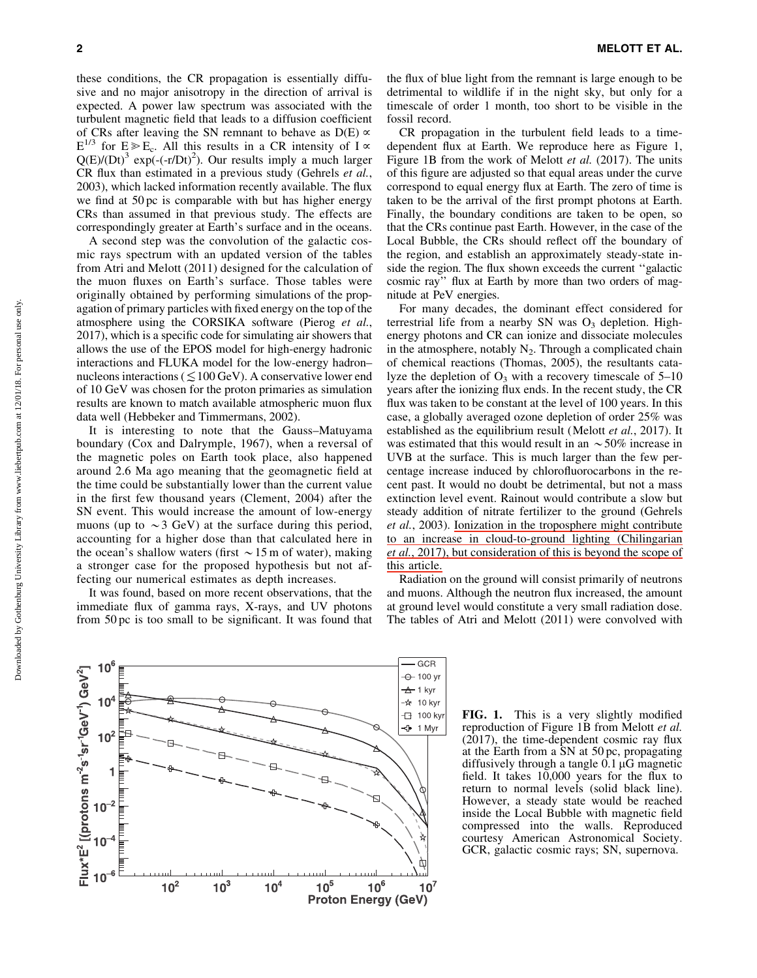these conditions, the CR propagation is essentially diffusive and no major anisotropy in the direction of arrival is expected. A power law spectrum was associated with the turbulent magnetic field that leads to a diffusion coefficient of CRs after leaving the SN remnant to behave as  $D(E) \propto$  $E^{1/3}$  for  $E \gg E_c$ . All this results in a CR intensity of I  $\propto$  $Q(E)/(Dt)^3$  exp(-(-r/Dt)<sup>2</sup>). Our results imply a much larger CR flux than estimated in a previous study (Gehrels *et al.*, 2003), which lacked information recently available. The flux we find at 50 pc is comparable with but has higher energy CRs than assumed in that previous study. The effects are correspondingly greater at Earth's surface and in the oceans.

A second step was the convolution of the galactic cosmic rays spectrum with an updated version of the tables from Atri and Melott (2011) designed for the calculation of the muon fluxes on Earth's surface. Those tables were originally obtained by performing simulations of the propagation of primary particles with fixed energy on the top of the atmosphere using the CORSIKA software (Pierog *et al.*, 2017), which is a specific code for simulating air showers that allows the use of the EPOS model for high-energy hadronic interactions and FLUKA model for the low-energy hadron– nucleons interactions ( $\leq 100$  GeV). A conservative lower end of 10 GeV was chosen for the proton primaries as simulation results are known to match available atmospheric muon flux data well (Hebbeker and Timmermans, 2002).

It is interesting to note that the Gauss–Matuyama boundary (Cox and Dalrymple, 1967), when a reversal of the magnetic poles on Earth took place, also happened around 2.6 Ma ago meaning that the geomagnetic field at the time could be substantially lower than the current value in the first few thousand years (Clement, 2004) after the SN event. This would increase the amount of low-energy muons (up to  $\sim$  3 GeV) at the surface during this period, accounting for a higher dose than that calculated here in the ocean's shallow waters (first  $\sim$  15 m of water), making a stronger case for the proposed hypothesis but not affecting our numerical estimates as depth increases.

It was found, based on more recent observations, that the immediate flux of gamma rays, X-rays, and UV photons from 50 pc is too small to be significant. It was found that the flux of blue light from the remnant is large enough to be detrimental to wildlife if in the night sky, but only for a timescale of order 1 month, too short to be visible in the fossil record.

CR propagation in the turbulent field leads to a timedependent flux at Earth. We reproduce here as Figure 1, Figure 1B from the work of Melott *et al.* (2017). The units of this figure are adjusted so that equal areas under the curve correspond to equal energy flux at Earth. The zero of time is taken to be the arrival of the first prompt photons at Earth. Finally, the boundary conditions are taken to be open, so that the CRs continue past Earth. However, in the case of the Local Bubble, the CRs should reflect off the boundary of the region, and establish an approximately steady-state inside the region. The flux shown exceeds the current ''galactic cosmic ray'' flux at Earth by more than two orders of magnitude at PeV energies.

For many decades, the dominant effect considered for terrestrial life from a nearby SN was  $O_3$  depletion. Highenergy photons and CR can ionize and dissociate molecules in the atmosphere, notably  $N_2$ . Through a complicated chain of chemical reactions (Thomas, 2005), the resultants catalyze the depletion of  $O_3$  with a recovery timescale of  $5-10$ years after the ionizing flux ends. In the recent study, the CR flux was taken to be constant at the level of 100 years. In this case, a globally averaged ozone depletion of order 25% was established as the equilibrium result (Melott *et al.*, 2017). It was estimated that this would result in an  $\sim$  50% increase in UVB at the surface. This is much larger than the few percentage increase induced by chlorofluorocarbons in the recent past. It would no doubt be detrimental, but not a mass extinction level event. Rainout would contribute a slow but steady addition of nitrate fertilizer to the ground (Gehrels *et al.*, 2003). Ionization in the troposphere might contribute to an increase in cloud-to-ground lighting (Chilingarian *et al.*, 2017), but consideration of this is beyond the scope of this article.

Radiation on the ground will consist primarily of neutrons and muons. Although the neutron flux increased, the amount at ground level would constitute a very small radiation dose. The tables of Atri and Melott (2011) were convolved with



FIG. 1. This is a very slightly modified reproduction of Figure 1B from Melott *et al.* (2017), the time-dependent cosmic ray flux at the Earth from a SN at 50 pc, propagating diffusively through a tangle  $0.1 \mu$ G magnetic field. It takes 10,000 years for the flux to return to normal levels (solid black line). However, a steady state would be reached inside the Local Bubble with magnetic field compressed into the walls. Reproduced courtesy American Astronomical Society. GCR, galactic cosmic rays; SN, supernova.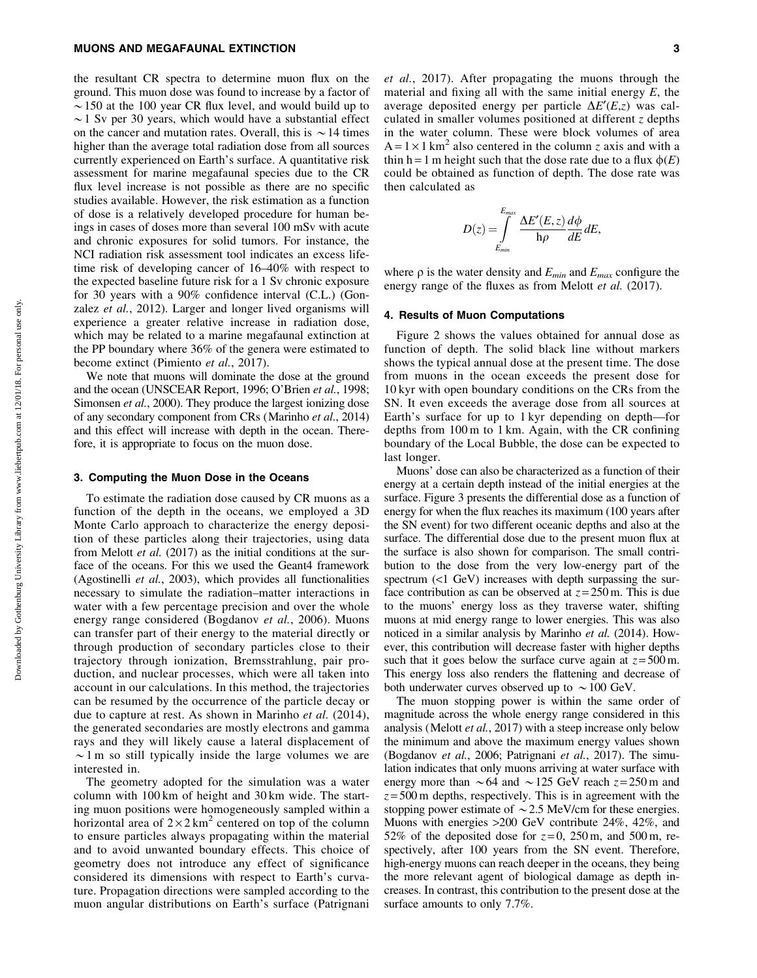#### MUONS AND MEGAFAUNAL EXTINCTION 3

the resultant CR spectra to determine muon flux on the ground. This muon dose was found to increase by a factor of  $\sim$  150 at the 100 year CR flux level, and would build up to  $\sim$  1 Sv per 30 years, which would have a substantial effect on the cancer and mutation rates. Overall, this is  $\sim$  14 times higher than the average total radiation dose from all sources currently experienced on Earth's surface. A quantitative risk assessment for marine megafaunal species due to the CR flux level increase is not possible as there are no specific studies available. However, the risk estimation as a function of dose is a relatively developed procedure for human beings in cases of doses more than several 100 mSv with acute and chronic exposures for solid tumors. For instance, the NCI radiation risk assessment tool indicates an excess lifetime risk of developing cancer of 16–40% with respect to the expected baseline future risk for a 1 Sv chronic exposure for 30 years with a 90% confidence interval (C.L.) (Gonzalez *et al.*, 2012). Larger and longer lived organisms will experience a greater relative increase in radiation dose, which may be related to a marine megafaunal extinction at the PP boundary where 36% of the genera were estimated to become extinct (Pimiento *et al.*, 2017).

We note that muons will dominate the dose at the ground and the ocean (UNSCEAR Report, 1996; O'Brien *et al.*, 1998; Simonsen *et al.*, 2000). They produce the largest ionizing dose of any secondary component from CRs (Marinho *et al.*, 2014) and this effect will increase with depth in the ocean. Therefore, it is appropriate to focus on the muon dose.

### 3. Computing the Muon Dose in the Oceans

To estimate the radiation dose caused by CR muons as a function of the depth in the oceans, we employed a 3D Monte Carlo approach to characterize the energy deposition of these particles along their trajectories, using data from Melott *et al.* (2017) as the initial conditions at the surface of the oceans. For this we used the Geant4 framework (Agostinelli *et al.*, 2003), which provides all functionalities necessary to simulate the radiation–matter interactions in water with a few percentage precision and over the whole energy range considered (Bogdanov *et al.*, 2006). Muons can transfer part of their energy to the material directly or through production of secondary particles close to their trajectory through ionization, Bremsstrahlung, pair production, and nuclear processes, which were all taken into account in our calculations. In this method, the trajectories can be resumed by the occurrence of the particle decay or due to capture at rest. As shown in Marinho *et al.* (2014), the generated secondaries are mostly electrons and gamma rays and they will likely cause a lateral displacement of  $\sim$ 1 m so still typically inside the large volumes we are interested in.

The geometry adopted for the simulation was a water column with 100 km of height and 30 km wide. The starting muon positions were homogeneously sampled within a horizontal area of  $2 \times 2 \text{ km}^2$  centered on top of the column to ensure particles always propagating within the material and to avoid unwanted boundary effects. This choice of geometry does not introduce any effect of significance considered its dimensions with respect to Earth's curvature. Propagation directions were sampled according to the muon angular distributions on Earth's surface (Patrignani *et al.*, 2017). After propagating the muons through the material and fixing all with the same initial energy *E*, the average deposited energy per particle  $\Delta E'(E, z)$  was calculated in smaller volumes positioned at different *z* depths in the water column. These were block volumes of area  $A = 1 \times 1$  km<sup>2</sup> also centered in the column *z* axis and with a thin h = 1 m height such that the dose rate due to a flux  $\phi(E)$ could be obtained as function of depth. The dose rate was then calculated as

$$
D(z) = \int_{E_{min}}^{E_{max}} \frac{\Delta E'(E, z)}{h \rho} \frac{d\phi}{dE} dE,
$$

where  $\rho$  is the water density and  $E_{min}$  and  $E_{max}$  configure the energy range of the fluxes as from Melott *et al.* (2017).

### 4. Results of Muon Computations

Figure 2 shows the values obtained for annual dose as function of depth. The solid black line without markers shows the typical annual dose at the present time. The dose from muons in the ocean exceeds the present dose for 10 kyr with open boundary conditions on the CRs from the SN. It even exceeds the average dose from all sources at Earth's surface for up to 1 kyr depending on depth—for depths from 100 m to 1 km. Again, with the CR confining boundary of the Local Bubble, the dose can be expected to last longer.

Muons' dose can also be characterized as a function of their energy at a certain depth instead of the initial energies at the surface. Figure 3 presents the differential dose as a function of energy for when the flux reaches its maximum (100 years after the SN event) for two different oceanic depths and also at the surface. The differential dose due to the present muon flux at the surface is also shown for comparison. The small contribution to the dose from the very low-energy part of the spectrum (<1 GeV) increases with depth surpassing the surface contribution as can be observed at  $z = 250$  m. This is due to the muons' energy loss as they traverse water, shifting muons at mid energy range to lower energies. This was also noticed in a similar analysis by Marinho *et al.* (2014). However, this contribution will decrease faster with higher depths such that it goes below the surface curve again at  $z = 500$  m. This energy loss also renders the flattening and decrease of both underwater curves observed up to  $\sim$  100 GeV.

The muon stopping power is within the same order of magnitude across the whole energy range considered in this analysis (Melott *et al.*, 2017) with a steep increase only below the minimum and above the maximum energy values shown (Bogdanov *et al.*, 2006; Patrignani *et al.*, 2017). The simulation indicates that only muons arriving at water surface with energy more than  $\sim 64$  and  $\sim 125$  GeV reach  $z = 250$  m and  $z = 500$  m depths, respectively. This is in agreement with the stopping power estimate of  $\sim$  2.5 MeV/cm for these energies. Muons with energies >200 GeV contribute 24%, 42%, and 52% of the deposited dose for  $z=0$ , 250 m, and 500 m, respectively, after 100 years from the SN event. Therefore, high-energy muons can reach deeper in the oceans, they being the more relevant agent of biological damage as depth increases. In contrast, this contribution to the present dose at the surface amounts to only 7.7%.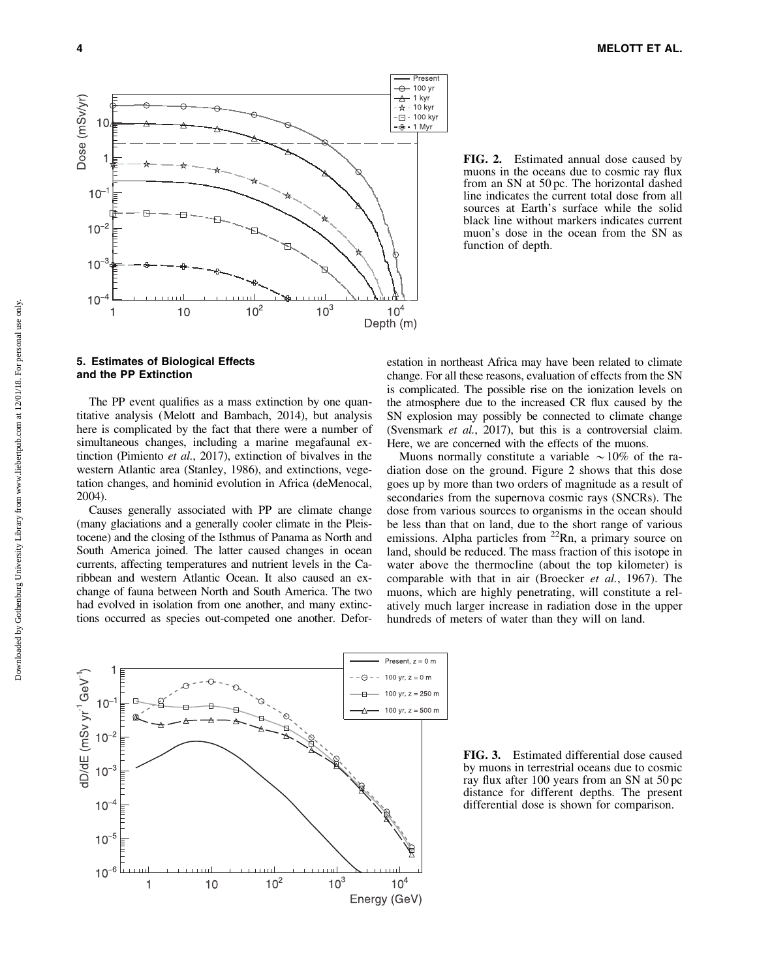

FIG. 2. Estimated annual dose caused by muons in the oceans due to cosmic ray flux from an SN at 50 pc. The horizontal dashed line indicates the current total dose from all sources at Earth's surface while the solid black line without markers indicates current muon's dose in the ocean from the SN as function of depth.

# 5. Estimates of Biological Effects and the PP Extinction

The PP event qualifies as a mass extinction by one quantitative analysis (Melott and Bambach, 2014), but analysis here is complicated by the fact that there were a number of simultaneous changes, including a marine megafaunal extinction (Pimiento *et al.*, 2017), extinction of bivalves in the western Atlantic area (Stanley, 1986), and extinctions, vegetation changes, and hominid evolution in Africa (deMenocal, 2004).

Causes generally associated with PP are climate change (many glaciations and a generally cooler climate in the Pleistocene) and the closing of the Isthmus of Panama as North and South America joined. The latter caused changes in ocean currents, affecting temperatures and nutrient levels in the Caribbean and western Atlantic Ocean. It also caused an exchange of fauna between North and South America. The two had evolved in isolation from one another, and many extinctions occurred as species out-competed one another. Deforestation in northeast Africa may have been related to climate change. For all these reasons, evaluation of effects from the SN is complicated. The possible rise on the ionization levels on the atmosphere due to the increased CR flux caused by the SN explosion may possibly be connected to climate change (Svensmark *et al.*, 2017), but this is a controversial claim. Here, we are concerned with the effects of the muons.

Muons normally constitute a variable  $\sim 10\%$  of the radiation dose on the ground. Figure 2 shows that this dose goes up by more than two orders of magnitude as a result of secondaries from the supernova cosmic rays (SNCRs). The dose from various sources to organisms in the ocean should be less than that on land, due to the short range of various emissions. Alpha particles from  $^{22}$ Rn, a primary source on land, should be reduced. The mass fraction of this isotope in water above the thermocline (about the top kilometer) is comparable with that in air (Broecker *et al.*, 1967). The muons, which are highly penetrating, will constitute a relatively much larger increase in radiation dose in the upper hundreds of meters of water than they will on land.



FIG. 3. Estimated differential dose caused by muons in terrestrial oceans due to cosmic ray flux after 100 years from an SN at 50 pc distance for different depths. The present differential dose is shown for comparison.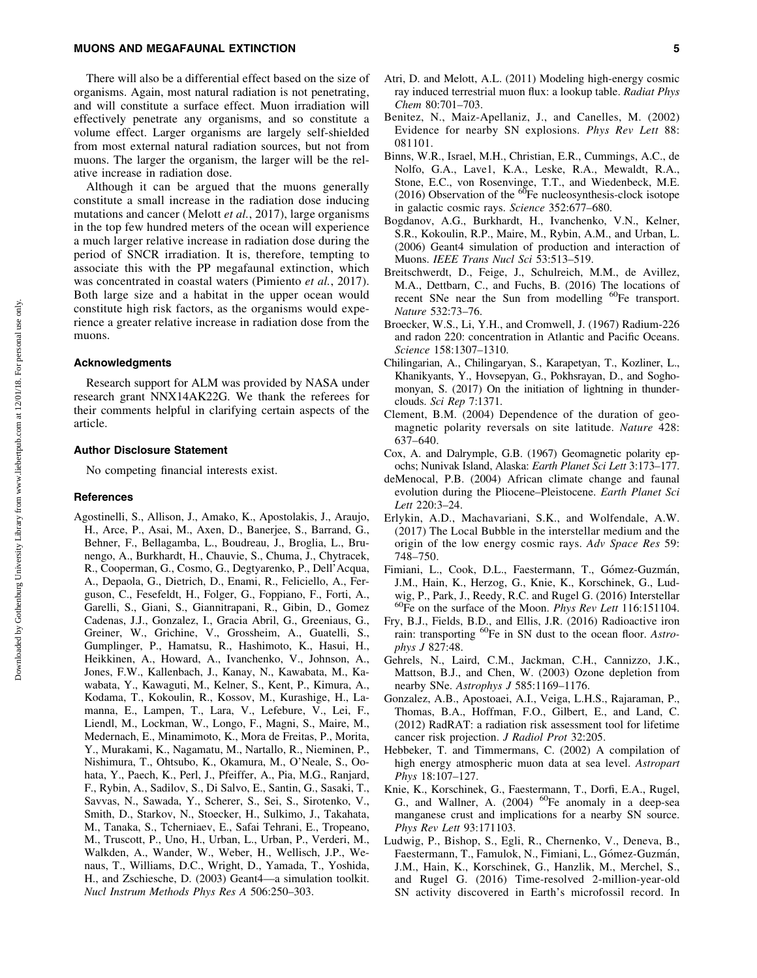There will also be a differential effect based on the size of organisms. Again, most natural radiation is not penetrating, and will constitute a surface effect. Muon irradiation will effectively penetrate any organisms, and so constitute a volume effect. Larger organisms are largely self-shielded from most external natural radiation sources, but not from muons. The larger the organism, the larger will be the relative increase in radiation dose.

Although it can be argued that the muons generally constitute a small increase in the radiation dose inducing mutations and cancer (Melott *et al.*, 2017), large organisms in the top few hundred meters of the ocean will experience a much larger relative increase in radiation dose during the period of SNCR irradiation. It is, therefore, tempting to associate this with the PP megafaunal extinction, which was concentrated in coastal waters (Pimiento *et al.*, 2017). Both large size and a habitat in the upper ocean would constitute high risk factors, as the organisms would experience a greater relative increase in radiation dose from the muons.

### Acknowledgments

Research support for ALM was provided by NASA under research grant NNX14AK22G. We thank the referees for their comments helpful in clarifying certain aspects of the article.

#### Author Disclosure Statement

No competing financial interests exist.

#### **References**

Agostinelli, S., Allison, J., Amako, K., Apostolakis, J., Araujo, H., Arce, P., Asai, M., Axen, D., Banerjee, S., Barrand, G., Behner, F., Bellagamba, L., Boudreau, J., Broglia, L., Brunengo, A., Burkhardt, H., Chauvie, S., Chuma, J., Chytracek, R., Cooperman, G., Cosmo, G., Degtyarenko, P., Dell'Acqua, A., Depaola, G., Dietrich, D., Enami, R., Feliciello, A., Ferguson, C., Fesefeldt, H., Folger, G., Foppiano, F., Forti, A., Garelli, S., Giani, S., Giannitrapani, R., Gibin, D., Gomez Cadenas, J.J., Gonzalez, I., Gracia Abril, G., Greeniaus, G., Greiner, W., Grichine, V., Grossheim, A., Guatelli, S., Gumplinger, P., Hamatsu, R., Hashimoto, K., Hasui, H., Heikkinen, A., Howard, A., Ivanchenko, V., Johnson, A., Jones, F.W., Kallenbach, J., Kanay, N., Kawabata, M., Kawabata, Y., Kawaguti, M., Kelner, S., Kent, P., Kimura, A., Kodama, T., Kokoulin, R., Kossov, M., Kurashige, H., Lamanna, E., Lampen, T., Lara, V., Lefebure, V., Lei, F., Liendl, M., Lockman, W., Longo, F., Magni, S., Maire, M., Medernach, E., Minamimoto, K., Mora de Freitas, P., Morita, Y., Murakami, K., Nagamatu, M., Nartallo, R., Nieminen, P., Nishimura, T., Ohtsubo, K., Okamura, M., O'Neale, S., Oohata, Y., Paech, K., Perl, J., Pfeiffer, A., Pia, M.G., Ranjard, F., Rybin, A., Sadilov, S., Di Salvo, E., Santin, G., Sasaki, T., Savvas, N., Sawada, Y., Scherer, S., Sei, S., Sirotenko, V., Smith, D., Starkov, N., Stoecker, H., Sulkimo, J., Takahata, M., Tanaka, S., Tcherniaev, E., Safai Tehrani, E., Tropeano, M., Truscott, P., Uno, H., Urban, L., Urban, P., Verderi, M., Walkden, A., Wander, W., Weber, H., Wellisch, J.P., Wenaus, T., Williams, D.C., Wright, D., Yamada, T., Yoshida, H., and Zschiesche, D. (2003) Geant4—a simulation toolkit. *Nucl Instrum Methods Phys Res A* 506:250–303.

- Benitez, N., Maiz-Apellaniz, J., and Canelles, M. (2002) Evidence for nearby SN explosions. *Phys Rev Lett* 88: 081101.
- Binns, W.R., Israel, M.H., Christian, E.R., Cummings, A.C., de Nolfo, G.A., Lave1, K.A., Leske, R.A., Mewaldt, R.A., Stone, E.C., von Rosenvinge, T.T., and Wiedenbeck, M.E.  $(2016)$  Observation of the  $^{60}$ Fe nucleosynthesis-clock isotope in galactic cosmic rays. *Science* 352:677–680.
- Bogdanov, A.G., Burkhardt, H., Ivanchenko, V.N., Kelner, S.R., Kokoulin, R.P., Maire, M., Rybin, A.M., and Urban, L. (2006) Geant4 simulation of production and interaction of Muons. *IEEE Trans Nucl Sci* 53:513–519.
- Breitschwerdt, D., Feige, J., Schulreich, M.M., de Avillez, M.A., Dettbarn, C., and Fuchs, B. (2016) The locations of recent SNe near the Sun from modelling <sup>60</sup>Fe transport. *Nature* 532:73–76.
- Broecker, W.S., Li, Y.H., and Cromwell, J. (1967) Radium-226 and radon 220: concentration in Atlantic and Pacific Oceans. *Science* 158:1307–1310.
- Chilingarian, A., Chilingaryan, S., Karapetyan, T., Kozliner, L., Khanikyants, Y., Hovsepyan, G., Pokhsrayan, D., and Soghomonyan, S. (2017) On the initiation of lightning in thunderclouds. *Sci Rep* 7:1371.
- Clement, B.M. (2004) Dependence of the duration of geomagnetic polarity reversals on site latitude. *Nature* 428: 637–640.
- Cox, A. and Dalrymple, G.B. (1967) Geomagnetic polarity epochs; Nunivak Island, Alaska: *Earth Planet Sci Lett* 3:173–177.
- deMenocal, P.B. (2004) African climate change and faunal evolution during the Pliocene–Pleistocene. *Earth Planet Sci Lett* 220:3–24.
- Erlykin, A.D., Machavariani, S.K., and Wolfendale, A.W. (2017) The Local Bubble in the interstellar medium and the origin of the low energy cosmic rays. *Adv Space Res* 59: 748–750.
- Fimiani, L., Cook, D.L., Faestermann, T., Gómez-Guzmán, J.M., Hain, K., Herzog, G., Knie, K., Korschinek, G., Ludwig, P., Park, J., Reedy, R.C. and Rugel G. (2016) Interstellar 60Fe on the surface of the Moon. *Phys Rev Lett* 116:151104.
- Fry, B.J., Fields, B.D., and Ellis, J.R. (2016) Radioactive iron rain: transporting <sup>60</sup>Fe in SN dust to the ocean floor. Astro*phys J* 827:48.
- Gehrels, N., Laird, C.M., Jackman, C.H., Cannizzo, J.K., Mattson, B.J., and Chen, W. (2003) Ozone depletion from nearby SNe. *Astrophys J* 585:1169–1176.
- Gonzalez, A.B., Apostoaei, A.I., Veiga, L.H.S., Rajaraman, P., Thomas, B.A., Hoffman, F.O., Gilbert, E., and Land, C. (2012) RadRAT: a radiation risk assessment tool for lifetime cancer risk projection. *J Radiol Prot* 32:205.
- Hebbeker, T. and Timmermans, C. (2002) A compilation of high energy atmospheric muon data at sea level. *Astropart Phys* 18:107–127.
- Knie, K., Korschinek, G., Faestermann, T., Dorfi, E.A., Rugel, G., and Wallner, A.  $(2004)$  <sup>60</sup>Fe anomaly in a deep-sea manganese crust and implications for a nearby SN source. *Phys Rev Lett* 93:171103.
- Ludwig, P., Bishop, S., Egli, R., Chernenko, V., Deneva, B., Faestermann, T., Famulok, N., Fimiani, L., Gómez-Guzmán, J.M., Hain, K., Korschinek, G., Hanzlik, M., Merchel, S., and Rugel G. (2016) Time-resolved 2-million-year-old SN activity discovered in Earth's microfossil record. In